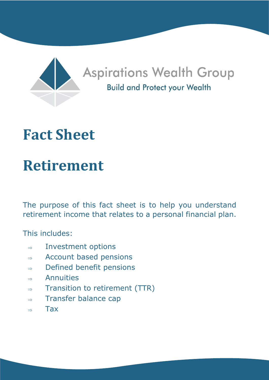

## **Aspirations Wealth Group Build and Protect your Wealth**

## **Fact Sheet**

# **Retirement**

The purpose of this fact sheet is to help you understand retirement income that relates to a personal financial plan.

This includes:

- $\Rightarrow$  Investment options
- $\Rightarrow$  Account based pensions
- $\Rightarrow$  Defined benefit pensions
- $\Rightarrow$  Annuities
- $\Rightarrow$  Transition to retirement (TTR)
- $\Rightarrow$  Transfer balance cap
- $\rightarrow$  Tax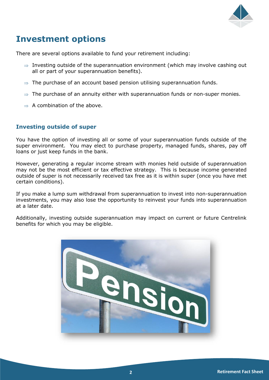

### **Investment options**

There are several options available to fund your retirement including:

- $\Rightarrow$  Investing outside of the superannuation environment (which may involve cashing out all or part of your superannuation benefits).
- $\Rightarrow$  The purchase of an account based pension utilising superannuation funds.
- $\Rightarrow$  The purchase of an annuity either with superannuation funds or non-super monies.
- $\Rightarrow$  A combination of the above.

#### **Investing outside of super**

You have the option of investing all or some of your superannuation funds outside of the super environment. You may elect to purchase property, managed funds, shares, pay off loans or just keep funds in the bank.

However, generating a regular income stream with monies held outside of superannuation may not be the most efficient or tax effective strategy. This is because income generated outside of super is not necessarily received tax free as it is within super (once you have met certain conditions).

If you make a lump sum withdrawal from superannuation to invest into non-superannuation investments, you may also lose the opportunity to reinvest your funds into superannuation at a later date.

Additionally, investing outside superannuation may impact on current or future Centrelink benefits for which you may be eligible.

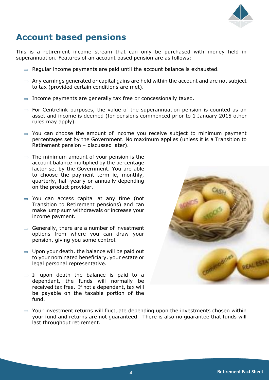

### **Account based pensions**

This is a retirement income stream that can only be purchased with money held in superannuation. Features of an account based pension are as follows:

- $\Rightarrow$  Regular income payments are paid until the account balance is exhausted.
- $\Rightarrow$  Any earnings generated or capital gains are held within the account and are not subject to tax (provided certain conditions are met).
- $\Rightarrow$  Income payments are generally tax free or concessionally taxed.
- $\Rightarrow$  For Centrelink purposes, the value of the superannuation pension is counted as an asset and income is deemed (for pensions commenced prior to 1 January 2015 other rules may apply).
- $\Rightarrow$  You can choose the amount of income you receive subject to minimum payment percentages set by the Government. No maximum applies (unless it is a Transition to Retirement pension – discussed later).
- $\Rightarrow$  The minimum amount of your pension is the account balance multiplied by the percentage factor set by the Government. You are able to choose the payment term ie, monthly, quarterly, half-yearly or annually depending on the product provider.
- $\Rightarrow$  You can access capital at any time (not Transition to Retirement pensions) and can make lump sum withdrawals or increase your income payment.
- $\Rightarrow$  Generally, there are a number of investment options from where you can draw your pension, giving you some control.
- $\Rightarrow$  Upon your death, the balance will be paid out to your nominated beneficiary, your estate or legal personal representative.
- $\Rightarrow$  If upon death the balance is paid to a dependant, the funds will normally be received tax free. If not a dependant, tax will be payable on the taxable portion of the fund.



 $\Rightarrow$  Your investment returns will fluctuate depending upon the investments chosen within your fund and returns are not guaranteed. There is also no guarantee that funds will last throughout retirement.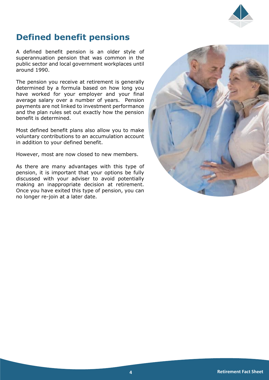

#### **Defined benefit pensions**

A defined benefit pension is an older style of superannuation pension that was common in the public sector and local government workplaces until around 1990.

The pension you receive at retirement is generally determined by a formula based on how long you have worked for your employer and your final average salary over a number of years. Pension payments are not linked to investment performance and the plan rules set out exactly how the pension benefit is determined.

Most defined benefit plans also allow you to make voluntary contributions to an accumulation account in addition to your defined benefit.

However, most are now closed to new members.

As there are many advantages with this type of pension, it is important that your options be fully discussed with your adviser to avoid potentially making an inappropriate decision at retirement. Once you have exited this type of pension, you can no longer re-join at a later date.

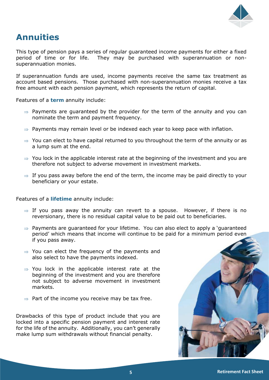

#### **Annuities**

This type of pension pays a series of regular guaranteed income payments for either a fixed period of time or for life. They may be purchased with superannuation or nonsuperannuation monies.

If superannuation funds are used, income payments receive the same tax treatment as account based pensions. Those purchased with non-superannuation monies receive a tax free amount with each pension payment, which represents the return of capital.

Features of a **term** annuity include:

- $\Rightarrow$  Payments are guaranteed by the provider for the term of the annuity and you can nominate the term and payment frequency.
- $\Rightarrow$  Payments may remain level or be indexed each year to keep pace with inflation.
- $\Rightarrow$  You can elect to have capital returned to you throughout the term of the annuity or as a lump sum at the end.
- $\Rightarrow$  You lock in the applicable interest rate at the beginning of the investment and you are therefore not subject to adverse movement in investment markets.
- $\Rightarrow$  If you pass away before the end of the term, the income may be paid directly to your beneficiary or your estate.

Features of a **lifetime** annuity include:

- $\Rightarrow$  If you pass away the annuity can revert to a spouse. However, if there is no reversionary, there is no residual capital value to be paid out to beneficiaries.
- $\Rightarrow$  Payments are guaranteed for your lifetime. You can also elect to apply a 'guaranteed period' which means that income will continue to be paid for a minimum period even if you pass away.
- $\Rightarrow$  You can elect the frequency of the payments and also select to have the payments indexed.
- $\Rightarrow$  You lock in the applicable interest rate at the beginning of the investment and you are therefore not subject to adverse movement in investment markets.
- $\Rightarrow$  Part of the income you receive may be tax free.

Drawbacks of this type of product include that you are locked into a specific pension payment and interest rate for the life of the annuity. Additionally, you can't generally make lump sum withdrawals without financial penalty.

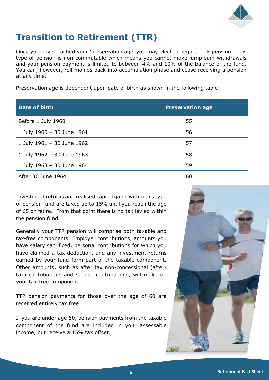

## **Transition to Retirement (TTR)**

Once you have reached your 'preservation age' you may elect to begin a TTR pension. This type of pension is non-commutable which means you cannot make lump sum withdrawals and your pension payment is limited to between 4% and 10% of the balance of the fund. You can, however, roll monies back into accumulation phase and cease receiving a pension at any time.

Preservation age is dependent upon date of birth as shown in the following table:

| Date of birth              | <b>Preservation age</b> |
|----------------------------|-------------------------|
| Before 1 July 1960         | 55                      |
| 1 July 1960 - 30 June 1961 | 56                      |
| 1 July 1961 - 30 June 1962 | 57                      |
| 1 July 1962 - 30 June 1963 | 58                      |
| 1 July 1963 - 30 June 1964 | 59                      |
| After 30 June 1964         | 60                      |

Investment returns and realised capital gains within this type of pension fund are taxed up to 15% until you reach the age of 65 or retire. From that point there is no tax levied within the pension fund.

Generally your TTR pension will comprise both taxable and tax-free components. Employer contributions, amounts you have salary sacrificed, personal contributions for which you have claimed a tax deduction, and any investment returns earned by your fund form part of the taxable component. Other amounts, such as after tax non-concessional (aftertax) contributions and spouse contributions, will make up your tax-free component.

TTR pension payments for those over the age of 60 are received entirely tax free.

If you are under age 60, pension payments from the taxable component of the fund are included in your assessable income, but receive a 15% tax offset.

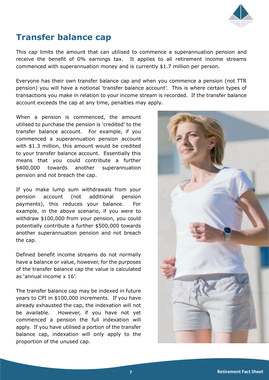

### **Transfer balance cap**

This cap limits the amount that can utilised to commence a superannuation pension and receive the benefit of 0% earnings tax. It applies to all retirement income streams commenced with superannuation money and is currently \$1.7 million per person.

Everyone has their own transfer balance cap and when you commence a pension (not TTR pension) you will have a notional 'transfer balance account'. This is where certain types of transactions you make in relation to your income stream is recorded. If the transfer balance account exceeds the cap at any time, penalties may apply.

When a pension is commenced, the amount utilised to purchase the pension is 'credited' to the transfer balance account. For example, if you commenced a superannuation pension account with \$1.3 million, this amount would be credited to your transfer balance account. Essentially this means that you could contribute a further \$400,000 towards another superannuation pension and not breach the cap.

If you make lump sum withdrawals from your pension account (not additional pension payments), this reduces your balance. For example, in the above scenario, if you were to withdraw \$100,000 from your pension, you could potentially contribute a further \$500,000 towards another superannuation pension and not breach the cap.

Defined benefit income streams do not normally have a balance or value, however, for the purposes of the transfer balance cap the value is calculated as 'annual income x 16'.

The transfer balance cap may be indexed in future years to CPI in \$100,000 increments. If you have already exhausted the cap, the indexation will not be available. However, if you have not yet commenced a pension the full indexation will apply. If you have utilised a portion of the transfer balance cap, indexation will only apply to the proportion of the unused cap.

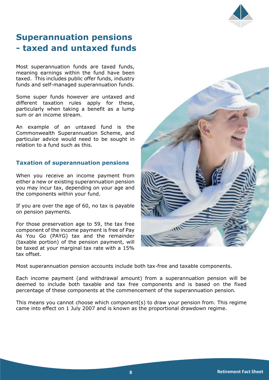

### **Superannuation pensions - taxed and untaxed funds**

Most superannuation funds are taxed funds, meaning earnings within the fund have been taxed. This includes public offer funds, industry funds and self-managed superannuation funds.

Some super funds however are untaxed and different taxation rules apply for these, particularly when taking a benefit as a lump sum or an income stream.

An example of an untaxed fund is the Commonwealth Superannuation Scheme, and particular advice would need to be sought in relation to a fund such as this.

#### **Taxation of superannuation pensions**

When you receive an income payment from either a new or existing superannuation pension you may incur tax, depending on your age and the components within your fund.

If you are over the age of 60, no tax is payable on pension payments.

For those preservation age to 59, the tax free component of the income payment is free of Pay As You Go (PAYG) tax and the remainder (taxable portion) of the pension payment, will be taxed at your marginal tax rate with a 15% tax offset.



Most superannuation pension accounts include both tax-free and taxable components.

Each income payment (and withdrawal amount) from a superannuation pension will be deemed to include both taxable and tax free components and is based on the fixed percentage of these components at the commencement of the superannuation pension.

This means you cannot choose which component(s) to draw your pension from. This regime came into effect on 1 July 2007 and is known as the proportional drawdown regime.